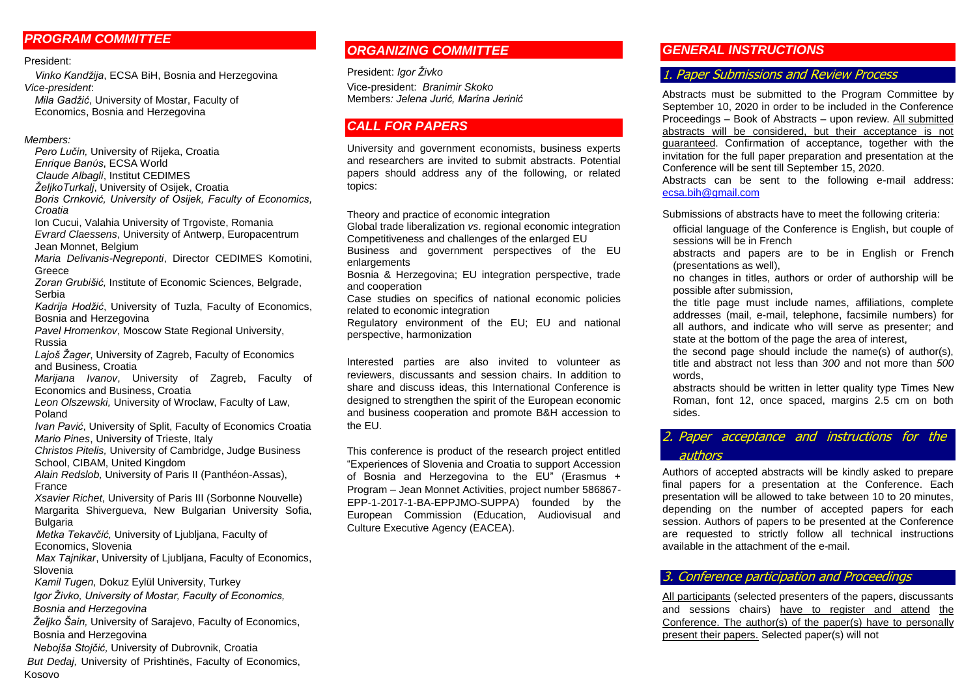# *PROGRAM COMMITTEE*

#### President:

*Vinko Kandžija*, ECSA BiH, Bosnia and Herzegovina *Vice-president*:

*Mila Gadžić*, University of Mostar, Faculty of Economics, Bosnia and Herzegovina

#### *Members:*

*Pero Lučin,* University of Rijeka, Croatia *Enrique Banύs*, ECSA World *Claude Albagli*, Institut CEDIMES *ŽeljkoTurkalj*, University of Osijek, Croatia *Boris Crnković, University of Osijek, Faculty of Economics,* 

*Croatia* Ion Cucui, Valahia University of Trgoviste, Romania

*Evrard Claessens*, University of Antwerp, Europacentrum Jean Monnet, Belgium

*Maria Delivanis-Negreponti*, Director CEDIMES Komotini, **Greece** 

*Zoran Grubišić,* Institute of Economic Sciences, Belgrade, Serbia

*Kadrija Hodžić*, University of Tuzla, Faculty of Economics, Bosnia and Herzegovina

*Pavel Hromenkov*, Moscow State Regional University, Russia

*Lajoš Žager*, University of Zagreb, Faculty of Economics and Business, Croatia

*Marijana Ivanov*, University of Zagreb, Faculty of Economics and Business, Croatia

*Leon Olszewski,* University of Wroclaw, Faculty of Law, Poland

*Ivan Pavić*, University of Split, Faculty of Economics Croatia *Mario Pines*, University of Trieste, Italy

*Christos Pitelis,* University of Cambridge, Judge Business School, CIBAM, United Kingdom

*Alain Redslob,* University of Paris II (Panthéon-Assas), France

*Xsavier Richet*, University of Paris III (Sorbonne Nouvelle) Margarita Shivergueva, New Bulgarian University Sofia, Bulgaria

 *Metka Tekavčić,* University of Ljubljana, Faculty of Economics, Slovenia

 *Max Tajnikar*, University of Ljubljana, Faculty of Economics, Slovenia

*Kamil Tugen,* Dokuz Eylül University, Turkey

*Igor Živko, University of Mostar, Faculty of Economics,* 

 *Bosnia and Herzegovina*

 *Željko Šain,* University of Sarajevo, Faculty of Economics, Bosnia and Herzegovina

 *Nebojša Stojčić,* University of Dubrovnik, Croatia

*But Dedaj,* University of Prishtinës, Faculty of Economics, Kosovo

# *ORGANIZING COMMITTEE*

President: *Igor Živko* Vice-president: *Branimir Skoko* Members*: Jelena Jurić, Marina Jerinić*

# *CALL FOR PAPERS*

University and government economists, business experts and researchers are invited to submit abstracts. Potential papers should address any of the following, or related topics:

Theory and practice of economic integration

Global trade liberalization *vs*. regional economic integration Competitiveness and challenges of the enlarged EU

Business and government perspectives of the EU enlargements

Bosnia & Herzegovina; EU integration perspective, trade and cooperation

Case studies on specifics of national economic policies related to economic integration

Regulatory environment of the EU; EU and national perspective, harmonization

Interested parties are also invited to volunteer as reviewers, discussants and session chairs. In addition to share and discuss ideas, this International Conference is designed to strengthen the spirit of the European economic and business cooperation and promote B&H accession to the EU.

This conference is product of the research project entitled "Experiences of Slovenia and Croatia to support Accession of Bosnia and Herzegovina to the EU" (Erasmus + Program – Jean Monnet Activities, project number 586867- EPP-1-2017-1-BA-EPPJMO-SUPPA) founded by the European Commission (Education, Audiovisual and Culture Executive Agency (EACEA).

# *GENERAL INSTRUCTIONS*

# 1. Paper Submissions and Review Process

Abstracts must be submitted to the Program Committee by September 10, 2020 in order to be included in the Conference Proceedings – Book of Abstracts – upon review. All submitted abstracts will be considered, but their acceptance is not guaranteed. Confirmation of acceptance, together with the invitation for the full paper preparation and presentation at the Conference will be sent till September 15, 2020.

Abstracts can be sent to the following e-mail address: ecsa.bih@gmail.com

Submissions of abstracts have to meet the following criteria:

official language of the Conference is English, but couple of sessions will be in French

abstracts and papers are to be in English or French (presentations as well),

no changes in titles, authors or order of authorship will be possible after submission,

the title page must include names, affiliations, complete addresses (mail, e-mail, telephone, facsimile numbers) for all authors, and indicate who will serve as presenter; and state at the bottom of the page the area of interest,

the second page should include the name(s) of author(s), title and abstract not less than *300* and not more than *500* words,

abstracts should be written in letter quality type Times New Roman, font 12, once spaced, margins 2.5 cm on both sides.

# 2. Paper acceptance and instructions for the authors

Authors of accepted abstracts will be kindly asked to prepare final papers for a presentation at the Conference. Each presentation will be allowed to take between 10 to 20 minutes, depending on the number of accepted papers for each session. Authors of papers to be presented at the Conference are requested to strictly follow all technical instructions available in the attachment of the e-mail.

### 3. Conference participation and Proceedings

All participants (selected presenters of the papers, discussants and sessions chairs) have to register and attend the Conference. The author(s) of the paper(s) have to personally present their papers. Selected paper(s) will not